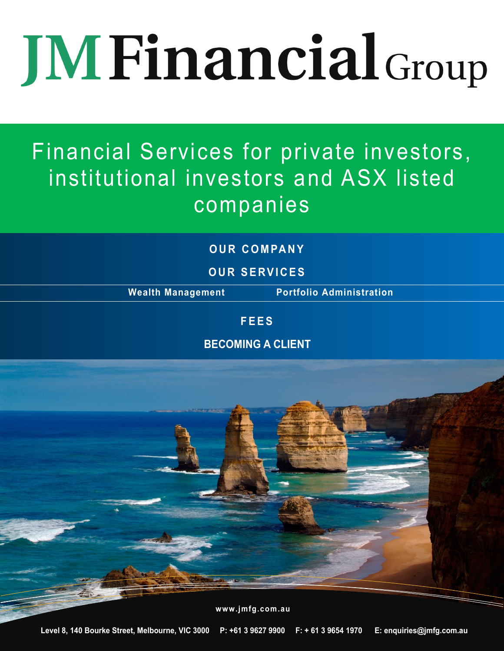# **JM Financial Group**

# Financial Services for private investors, institutional investors and ASX listed companies

## **O U R C O M PA N Y**

**O U R S E R V I C E S**

**Wealth Management Portfolio Administration**

### **F E E S**

**BECOMING A CLIENT**

**www.jmfg.com.au**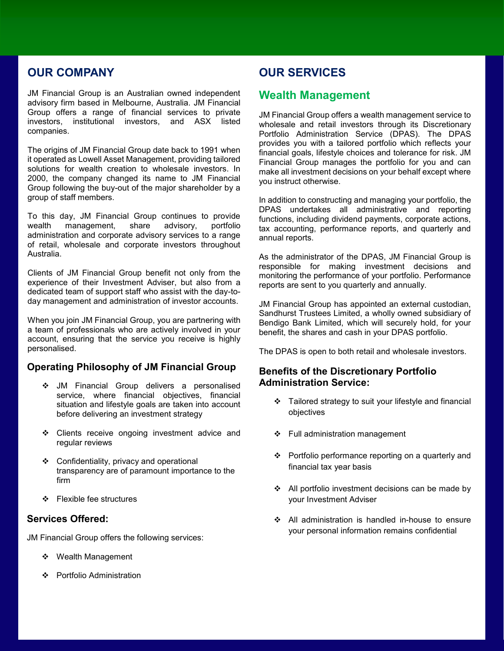#### **OUR COMPANY**

JM Financial Group is an Australian owned independent advisory firm based in Melbourne, Australia. JM Financial Group offers a range of financial services to private investors, institutional investors, and ASX listed companies.

The origins of JM Financial Group date back to 1991 when it operated as Lowell Asset Management, providing tailored solutions for wealth creation to wholesale investors. In 2000, the company changed its name to JM Financial Group following the buy-out of the major shareholder by a group of staff members.

To this day, JM Financial Group continues to provide wealth management, share advisory, portfolio administration and corporate advisory services to a range of retail, wholesale and corporate investors throughout Australia.

Clients of JM Financial Group benefit not only from the experience of their Investment Adviser, but also from a dedicated team of support staff who assist with the day-today management and administration of investor accounts.

When you join JM Financial Group, you are partnering with a team of professionals who are actively involved in your account, ensuring that the service you receive is highly personalised.

#### **Operating Philosophy of JM Financial Group**

- JM Financial Group delivers a personalised service, where financial objectives, financial situation and lifestyle goals are taken into account before delivering an investment strategy
- \* Clients receive ongoing investment advice and regular reviews
- Confidentiality, privacy and operational transparency are of paramount importance to the firm
- ❖ Flexible fee structures

#### **Services Offered:**

JM Financial Group offers the following services:

- ❖ Wealth Management
- ❖ Portfolio Administration

#### **OUR SERVICES**

#### **Wealth Management**

JM Financial Group offers a wealth management service to wholesale and retail investors through its Discretionary Portfolio Administration Service (DPAS). The DPAS provides you with a tailored portfolio which reflects your financial goals, lifestyle choices and tolerance for risk. JM Financial Group manages the portfolio for you and can make all investment decisions on your behalf except where you instruct otherwise.

In addition to constructing and managing your portfolio, the DPAS undertakes all administrative and reporting functions, including dividend payments, corporate actions, tax accounting, performance reports, and quarterly and annual reports.

As the administrator of the DPAS, JM Financial Group is responsible for making investment decisions and monitoring the performance of your portfolio. Performance reports are sent to you quarterly and annually.

JM Financial Group has appointed an external custodian, Sandhurst Trustees Limited, a wholly owned subsidiary of Bendigo Bank Limited, which will securely hold, for your benefit, the shares and cash in your DPAS portfolio.

The DPAS is open to both retail and wholesale investors.

#### **Benefits of the Discretionary Portfolio Administration Service:**

- $\div$  Tailored strategy to suit your lifestyle and financial objectives
- Full administration management
- Portfolio performance reporting on a quarterly and financial tax year basis
- $\div$  All portfolio investment decisions can be made by your Investment Adviser
- All administration is handled in-house to ensure your personal information remains confidential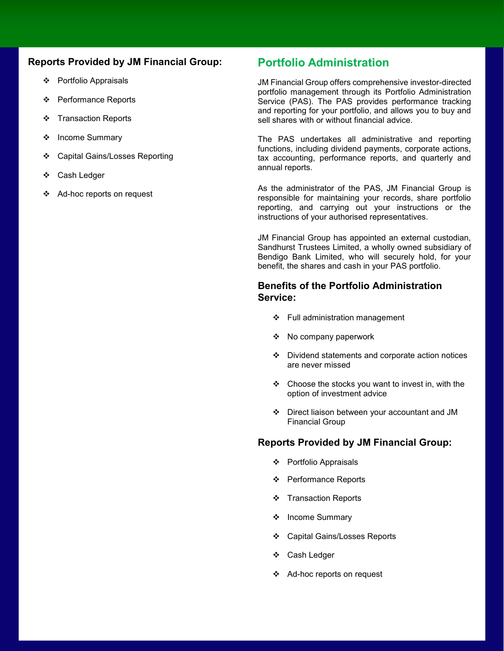#### **Reports Provided by JM Financial Group:**

- Portfolio Appraisals
- Performance Reports
- ❖ Transaction Reports
- ❖ Income Summary
- ❖ Capital Gains/Losses Reporting
- Cash Ledger
- ❖ Ad-hoc reports on request

#### **Portfolio Administration**

JM Financial Group offers comprehensive investor-directed portfolio management through its Portfolio Administration Service (PAS). The PAS provides performance tracking and reporting for your portfolio, and allows you to buy and sell shares with or without financial advice.

The PAS undertakes all administrative and reporting functions, including dividend payments, corporate actions, tax accounting, performance reports, and quarterly and annual reports.

As the administrator of the PAS, JM Financial Group is responsible for maintaining your records, share portfolio reporting, and carrying out your instructions or the instructions of your authorised representatives.

JM Financial Group has appointed an external custodian, Sandhurst Trustees Limited, a wholly owned subsidiary of Bendigo Bank Limited, who will securely hold, for your benefit, the shares and cash in your PAS portfolio.

#### **Benefits of the Portfolio Administration Service:**

- ❖ Full administration management
- ◆ No company paperwork
- $\div$  Dividend statements and corporate action notices are never missed
- $\div$  Choose the stocks you want to invest in, with the option of investment advice
- Direct liaison between your accountant and JM Financial Group

#### **Reports Provided by JM Financial Group:**

- Portfolio Appraisals
- ❖ Performance Reports
- ❖ Transaction Reports
- ❖ Income Summary
- Capital Gains/Losses Reports
- Cash Ledger
- ❖ Ad-hoc reports on request